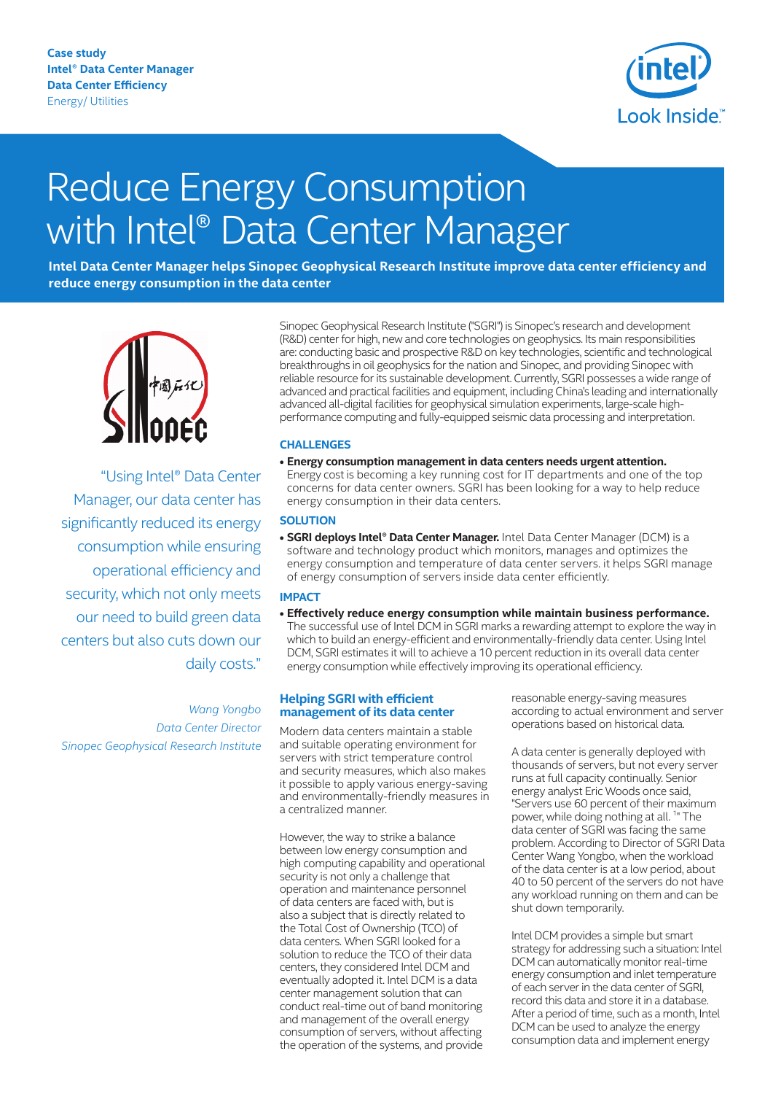**Case study Intel® Data Center Manager Data Center Efficiency** Energy/ Utilities



# Reduce Energy Consumption with Intel® Data Center Manager

**Intel Data Center Manager helps Sinopec Geophysical Research Institute improve data center efficiency and reduce energy consumption in the data center** 



"Using Intel® Data Center Manager, our data center has significantly reduced its energy consumption while ensuring operational efficiency and security, which not only meets our need to build green data centers but also cuts down our daily costs."

*Wang Yongbo Data Center Director Sinopec Geophysical Research Institute*

Sinopec Geophysical Research Institute ("SGRI") is Sinopec's research and development (R&D) center for high, new and core technologies on geophysics. Its main responsibilities are: conducting basic and prospective R&D on key technologies, scientific and technological breakthroughs in oil geophysics for the nation and Sinopec, and providing Sinopec with reliable resource for its sustainable development. Currently, SGRI possesses a wide range of advanced and practical facilities and equipment, including China's leading and internationally advanced all-digital facilities for geophysical simulation experiments, large-scale highperformance computing and fully-equipped seismic data processing and interpretation.

#### **CHALLENGES**

**• Energy consumption management in data centers needs urgent attention.** Energy cost is becoming a key running cost for IT departments and one of the top concerns for data center owners. SGRI has been looking for a way to help reduce energy consumption in their data centers.

### **SOLUTION**

**• SGRI deploys Intel® Data Center Manager.** Intel Data Center Manager (DCM) is a software and technology product which monitors, manages and optimizes the energy consumption and temperature of data center servers. it helps SGRI manage of energy consumption of servers inside data center efficiently.

## **IMPACT**

**• Effectively reduce energy consumption while maintain business performance.** The successful use of Intel DCM in SGRI marks a rewarding attempt to explore the way in which to build an energy-efficient and environmentally-friendly data center. Using Intel DCM, SGRI estimates it will to achieve a 10 percent reduction in its overall data center energy consumption while effectively improving its operational efficiency.

#### **Helping SGRI with efficient management of its data center**

Modern data centers maintain a stable and suitable operating environment for servers with strict temperature control and security measures, which also makes it possible to apply various energy-saving and environmentally-friendly measures in a centralized manner.

However, the way to strike a balance between low energy consumption and high computing capability and operational security is not only a challenge that operation and maintenance personnel of data centers are faced with, but is also a subject that is directly related to the Total Cost of Ownership (TCO) of data centers. When SGRI looked for a solution to reduce the TCO of their data centers, they considered Intel DCM and eventually adopted it. Intel DCM is a data center management solution that can conduct real-time out of band monitoring and management of the overall energy consumption of servers, without affecting the operation of the systems, and provide

reasonable energy-saving measures according to actual environment and server operations based on historical data.

A data center is generally deployed with thousands of servers, but not every server runs at full capacity continually. Senior energy analyst Eric Woods once said, "Servers use 60 percent of their maximum power, while doing nothing at all.<sup>1</sup>" The data center of SGRI was facing the same problem. According to Director of SGRI Data Center Wang Yongbo, when the workload of the data center is at a low period, about 40 to 50 percent of the servers do not have any workload running on them and can be shut down temporarily.

Intel DCM provides a simple but smart strategy for addressing such a situation: Intel DCM can automatically monitor real-time energy consumption and inlet temperature of each server in the data center of SGRI, record this data and store it in a database. After a period of time, such as a month, Intel DCM can be used to analyze the energy consumption data and implement energy